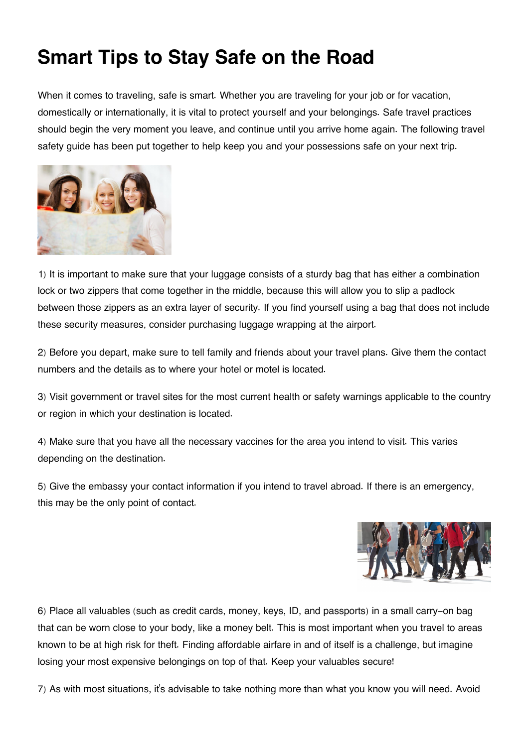## **Smart Tips to Stay Safe on the Road**

When it comes to traveling, safe is smart. Whether you are traveling for your job or for vacation, domestically or internationally, it is vital to protect yourself and your belongings. Safe travel practices should begin the very moment you leave, and continue until you arrive home again. The following travel safety guide has been put together to help keep you and your possessions safe on your next trip.



1) It is important to make sure that your luggage consists of a sturdy bag that has either a combination lock or two zippers that come together in the middle, because this will allow you to slip a padlock between those zippers as an extra layer of security. If you find yourself using a bag that does not include these security measures, consider purchasing luggage wrapping at the airport.

2) Before you depart, make sure to tell family and friends about your travel plans. Give them the contact numbers and the details as to where your hotel or motel is located.

3) Visit government or travel sites for the most current health or safety warnings applicable to the country or region in which your destination is located.

4) Make sure that you have all the necessary vaccines for the area you intend to visit. This varies depending on the destination.

5) Give the embassy your contact information if you intend to travel abroad. If there is an emergency, this may be the only point of contact.



6) Place all valuables (such as credit cards, money, keys, ID, and passports) in a small carry-on bag that can be worn close to your body, like a money belt. This is most important when you travel to areas known to be at high risk for theft. Finding affordable airfare in and of itself is a challenge, but imagine losing your most expensive belongings on top of that. Keep your valuables secure!

7) As with most situations, it's advisable to take nothing more than what you know you will need. Avoid